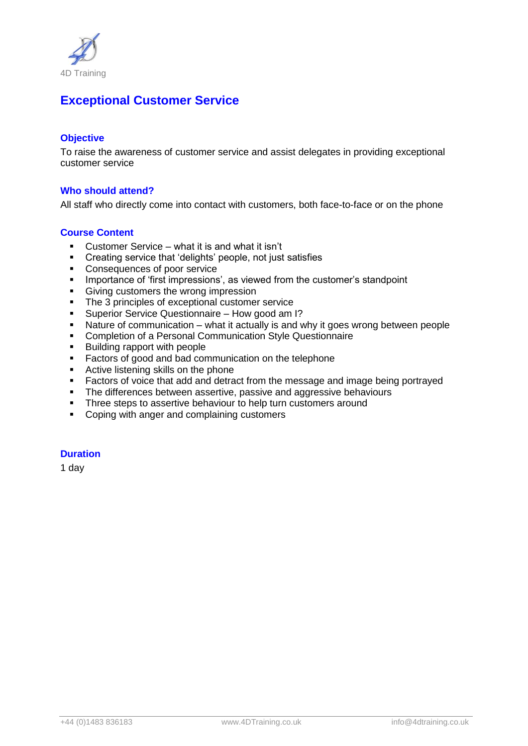

# **Exceptional Customer Service**

## **Objective**

To raise the awareness of customer service and assist delegates in providing exceptional customer service

## **Who should attend?**

All staff who directly come into contact with customers, both face-to-face or on the phone

### **Course Content**

- Customer Service what it is and what it isn't
- Creating service that 'delights' people, not just satisfies
- **Consequences of poor service**
- **IMPORTANCE OF 'first impressions', as viewed from the customer's standpoint**
- Giving customers the wrong impression
- The 3 principles of exceptional customer service
- Superior Service Questionnaire How good am I?
- Nature of communication what it actually is and why it goes wrong between people
- Completion of a Personal Communication Style Questionnaire
- Building rapport with people
- **Factors of good and bad communication on the telephone**
- **Active listening skills on the phone**
- **Factors of voice that add and detract from the message and image being portrayed**
- The differences between assertive, passive and aggressive behaviours
- **Three steps to assertive behaviour to help turn customers around**
- Coping with anger and complaining customers

# **Duration**

1 day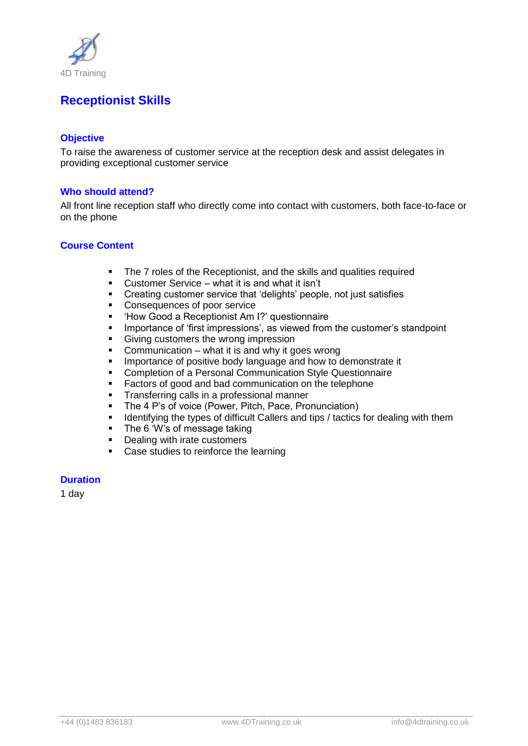

# **Receptionist Skills**

## **Objective**

To raise the awareness of customer service at the reception desk and assist delegates in providing exceptional customer service

## **Who should attend?**

All front line reception staff who directly come into contact with customers, both face-to-face or on the phone

## **Course Content**

- The 7 roles of the Receptionist, and the skills and qualities required<br>Customer Service what it is and what it isn't
- Customer Service what it is and what it isn't
- **•** Creating customer service that 'delights' people, not just satisfies
- **Consequences of poor service**
- 'How Good a Receptionist Am I?' questionnaire
- **IMPORTANCE OF 'first impressions', as viewed from the customer's standpoint**
- **Giving customers the wrong impression**
- Communication what it is and why it goes wrong
- **IMPORTANCE OF POSITIVE body language and how to demonstrate it**
- Completion of a Personal Communication Style Questionnaire
- **Factors of good and bad communication on the telephone**
- **Transferring calls in a professional manner**
- The 4 P's of voice (Power, Pitch, Pace, Pronunciation)
- **IDENT** Identifying the types of difficult Callers and tips / tactics for dealing with them
- The 6 'W's of message taking
- Dealing with irate customers
- Case studies to reinforce the learning

#### **Duration**

1 day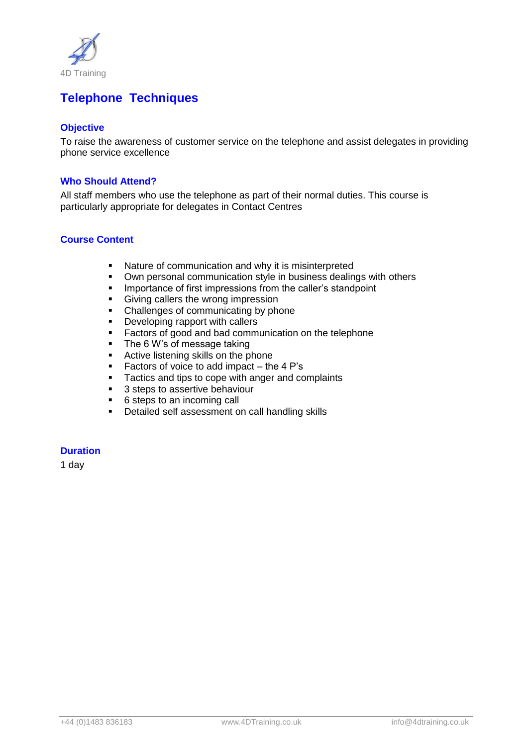

# **Telephone Techniques**

# **Objective**

To raise the awareness of customer service on the telephone and assist delegates in providing phone service excellence

## **Who Should Attend?**

All staff members who use the telephone as part of their normal duties. This course is particularly appropriate for delegates in Contact Centres

### **Course Content**

- Nature of communication and why it is misinterpreted
- Own personal communication style in business dealings with others
- **IMPORTANCE OF first impressions from the caller's standpoint**
- Giving callers the wrong impression
- Challenges of communicating by phone
- **•** Developing rapport with callers
- Factors of good and bad communication on the telephone<br>■ The 6 W's of message taking
- The 6 W's of message taking
- Active listening skills on the phone
- Factors of voice to add impact the  $4$  P's
- **Tactics and tips to cope with anger and complaints**
- 3 steps to assertive behaviour
- 6 steps to an incoming call
- **•** Detailed self assessment on call handling skills

## **Duration**

1 day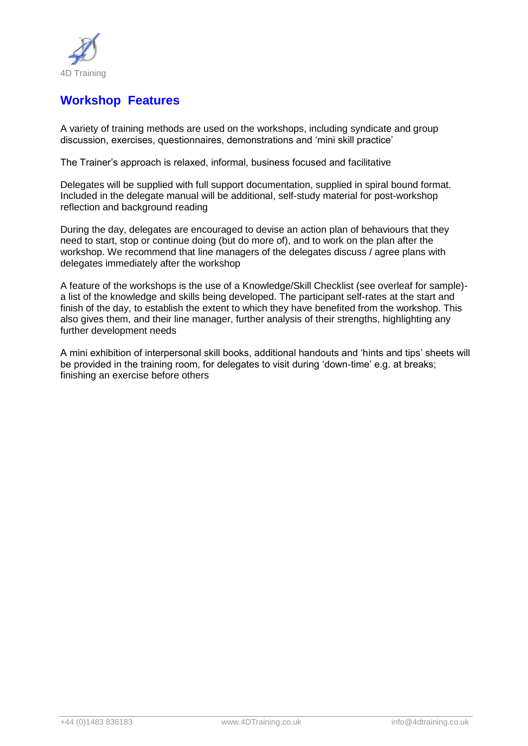

# **Workshop Features**

A variety of training methods are used on the workshops, including syndicate and group discussion, exercises, questionnaires, demonstrations and 'mini skill practice'

The Trainer's approach is relaxed, informal, business focused and facilitative

Delegates will be supplied with full support documentation, supplied in spiral bound format. Included in the delegate manual will be additional, self-study material for post-workshop reflection and background reading

During the day, delegates are encouraged to devise an action plan of behaviours that they need to start, stop or continue doing (but do more of), and to work on the plan after the workshop. We recommend that line managers of the delegates discuss / agree plans with delegates immediately after the workshop

A feature of the workshops is the use of a Knowledge/Skill Checklist (see overleaf for sample) a list of the knowledge and skills being developed. The participant self-rates at the start and finish of the day, to establish the extent to which they have benefited from the workshop. This also gives them, and their line manager, further analysis of their strengths, highlighting any further development needs

A mini exhibition of interpersonal skill books, additional handouts and 'hints and tips' sheets will be provided in the training room, for delegates to visit during 'down-time' e.g. at breaks; finishing an exercise before others